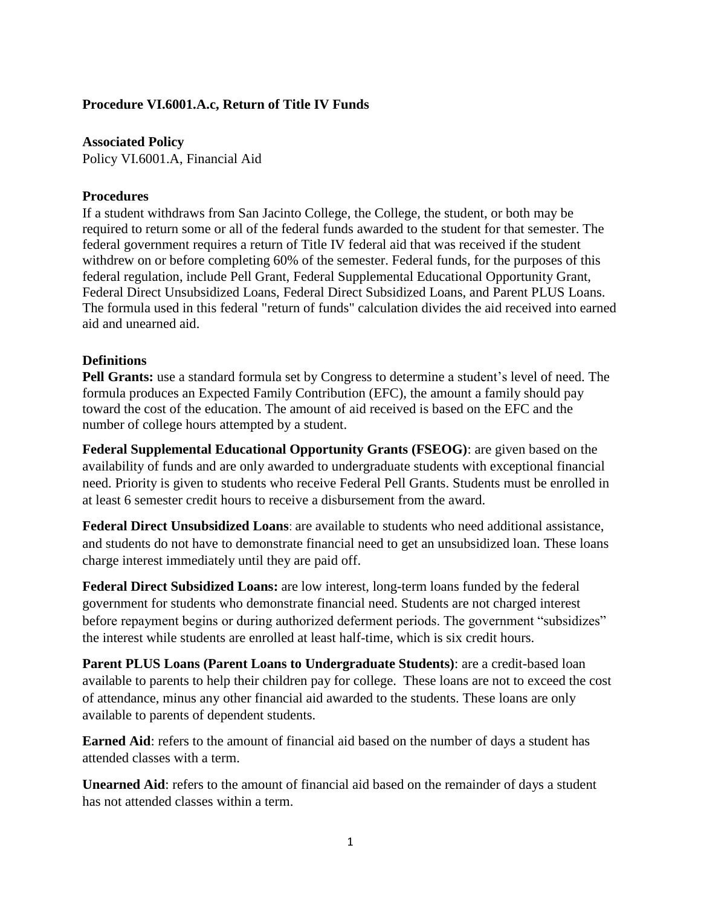## **Procedure VI.6001.A.c, Return of Title IV Funds**

**Associated Policy** Policy VI.6001.A, Financial Aid

## **Procedures**

If a student withdraws from San Jacinto College, the College, the student, or both may be required to return some or all of the federal funds awarded to the student for that semester. The federal government requires a return of Title IV federal aid that was received if the student withdrew on or before completing 60% of the semester. Federal funds, for the purposes of this federal regulation, include Pell Grant, Federal Supplemental Educational Opportunity Grant, Federal Direct Unsubsidized Loans, Federal Direct Subsidized Loans, and Parent PLUS Loans. The formula used in this federal "return of funds" calculation divides the aid received into earned aid and unearned aid.

## **Definitions**

**Pell Grants:** use a standard formula set by Congress to determine a student's level of need. The formula produces an Expected Family Contribution (EFC), the amount a family should pay toward the cost of the education. The amount of aid received is based on the EFC and the number of college hours attempted by a student.

**Federal Supplemental Educational Opportunity Grants (FSEOG)**: are given based on the availability of funds and are only awarded to undergraduate students with exceptional financial need. Priority is given to students who receive Federal Pell Grants. Students must be enrolled in at least 6 semester credit hours to receive a disbursement from the award.

**Federal Direct Unsubsidized Loans**: are available to students who need additional assistance, and students do not have to demonstrate financial need to get an unsubsidized loan. These loans charge interest immediately until they are paid off.

**Federal Direct Subsidized Loans:** are low interest, long-term loans funded by the federal government for students who demonstrate financial need. Students are not charged interest before repayment begins or during authorized deferment periods. The government "subsidizes" the interest while students are enrolled at least half-time, which is six credit hours.

**Parent PLUS Loans (Parent Loans to Undergraduate Students)**: are a credit-based loan available to parents to help their children pay for college. These loans are not to exceed the cost of attendance, minus any other financial aid awarded to the students. These loans are only available to parents of dependent students.

**Earned Aid**: refers to the amount of financial aid based on the number of days a student has attended classes with a term.

**Unearned Aid:** refers to the amount of financial aid based on the remainder of days a student has not attended classes within a term.